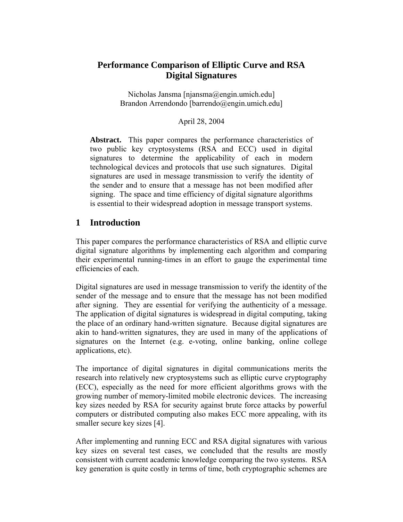# **Performance Comparison of Elliptic Curve and RSA Digital Signatures**

Nicholas Jansma [njansma@engin.umich.edu] Brandon Arrendondo [barrendo@engin.umich.edu]

#### April 28, 2004

**Abstract.** This paper compares the performance characteristics of two public key cryptosystems (RSA and ECC) used in digital signatures to determine the applicability of each in modern technological devices and protocols that use such signatures. Digital signatures are used in message transmission to verify the identity of the sender and to ensure that a message has not been modified after signing. The space and time efficiency of digital signature algorithms is essential to their widespread adoption in message transport systems.

## **1 Introduction**

This paper compares the performance characteristics of RSA and elliptic curve digital signature algorithms by implementing each algorithm and comparing their experimental running-times in an effort to gauge the experimental time efficiencies of each.

Digital signatures are used in message transmission to verify the identity of the sender of the message and to ensure that the message has not been modified after signing. They are essential for verifying the authenticity of a message. The application of digital signatures is widespread in digital computing, taking the place of an ordinary hand-written signature. Because digital signatures are akin to hand-written signatures, they are used in many of the applications of signatures on the Internet (e.g. e-voting, online banking, online college applications, etc).

The importance of digital signatures in digital communications merits the research into relatively new cryptosystems such as elliptic curve cryptography (ECC), especially as the need for more efficient algorithms grows with the growing number of memory-limited mobile electronic devices. The increasing key sizes needed by RSA for security against brute force attacks by powerful computers or distributed computing also makes ECC more appealing, with its smaller secure key sizes [4].

After implementing and running ECC and RSA digital signatures with various key sizes on several test cases, we concluded that the results are mostly consistent with current academic knowledge comparing the two systems. RSA key generation is quite costly in terms of time, both cryptographic schemes are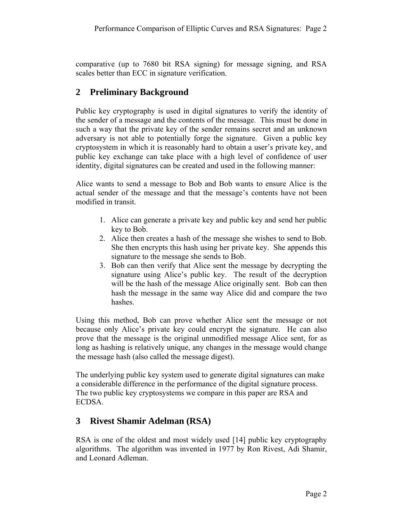comparative (up to 7680 bit RSA signing) for message signing, and RSA scales better than ECC in signature verification.

## **2 Preliminary Background**

Public key cryptography is used in digital signatures to verify the identity of the sender of a message and the contents of the message. This must be done in such a way that the private key of the sender remains secret and an unknown adversary is not able to potentially forge the signature. Given a public key cryptosystem in which it is reasonably hard to obtain a user's private key, and public key exchange can take place with a high level of confidence of user identity, digital signatures can be created and used in the following manner:

Alice wants to send a message to Bob and Bob wants to ensure Alice is the actual sender of the message and that the message's contents have not been modified in transit.

- 1. Alice can generate a private key and public key and send her public key to Bob.
- 2. Alice then creates a hash of the message she wishes to send to Bob. She then encrypts this hash using her private key. She appends this signature to the message she sends to Bob.
- 3. Bob can then verify that Alice sent the message by decrypting the signature using Alice's public key. The result of the decryption will be the hash of the message Alice originally sent. Bob can then hash the message in the same way Alice did and compare the two hashes.

Using this method, Bob can prove whether Alice sent the message or not because only Alice's private key could encrypt the signature. He can also prove that the message is the original unmodified message Alice sent, for as long as hashing is relatively unique, any changes in the message would change the message hash (also called the message digest).

The underlying public key system used to generate digital signatures can make a considerable difference in the performance of the digital signature process. The two public key cryptosystems we compare in this paper are RSA and ECDSA.

# **3 Rivest Shamir Adelman (RSA)**

RSA is one of the oldest and most widely used [14] public key cryptography algorithms. The algorithm was invented in 1977 by Ron Rivest, Adi Shamir, and Leonard Adleman.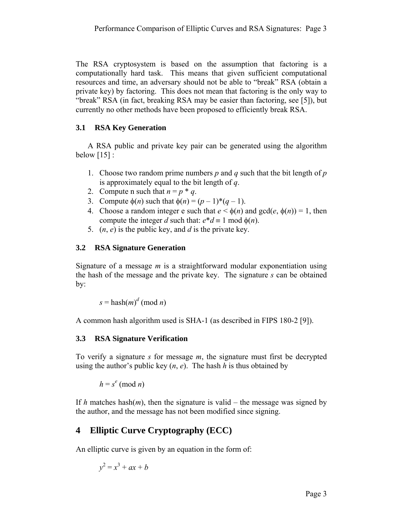The RSA cryptosystem is based on the assumption that factoring is a computationally hard task. This means that given sufficient computational resources and time, an adversary should not be able to "break" RSA (obtain a private key) by factoring. This does not mean that factoring is the only way to "break" RSA (in fact, breaking RSA may be easier than factoring, see [5]), but currently no other methods have been proposed to efficiently break RSA.

### **3.1 RSA Key Generation**

A RSA public and private key pair can be generated using the algorithm below  $[15]$  :

- 1. Choose two random prime numbers *p* and *q* such that the bit length of *p* is approximately equal to the bit length of *q*.
- 2. Compute n such that  $n = p * q$ .
- 3. Compute  $\phi(n)$  such that  $\phi(n) = (p-1)^*(q-1)$ .
- 4. Choose a random integer e such that  $e < \phi(n)$  and  $gcd(e, \phi(n)) = 1$ , then compute the integer *d* such that:  $e^*d \equiv 1 \text{ mod } \phi(n)$ .
- 5. (*n*, *e*) is the public key, and *d* is the private key.

### **3.2 RSA Signature Generation**

Signature of a message *m* is a straightforward modular exponentiation using the hash of the message and the private key. The signature *s* can be obtained by:

 $s =$ hash $(m)^d$  (mod *n*)

A common hash algorithm used is SHA-1 (as described in FIPS 180-2 [9]).

### **3.3 RSA Signature Verification**

To verify a signature *s* for message *m*, the signature must first be decrypted using the author's public key  $(n, e)$ . The hash *h* is thus obtained by

 $h = s^e \pmod{n}$ 

If *h* matches hash $(m)$ , then the signature is valid – the message was signed by the author, and the message has not been modified since signing.

# **4 Elliptic Curve Cryptography (ECC)**

An elliptic curve is given by an equation in the form of:

$$
y^2 = x^3 + ax + b
$$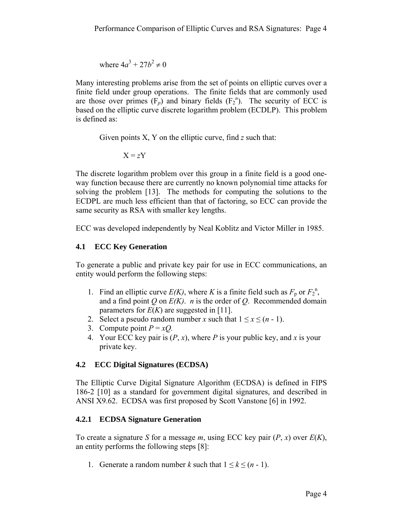where  $4a^3 + 27b^2 \neq 0$ 

Many interesting problems arise from the set of points on elliptic curves over a finite field under group operations. The finite fields that are commonly used are those over primes  $(F_p)$  and binary fields  $(F_2^n)$ . The security of ECC is based on the elliptic curve discrete logarithm problem (ECDLP). This problem is defined as:

Given points X, Y on the elliptic curve, find *z* such that:

 $X = zY$ 

The discrete logarithm problem over this group in a finite field is a good oneway function because there are currently no known polynomial time attacks for solving the problem [13]. The methods for computing the solutions to the ECDPL are much less efficient than that of factoring, so ECC can provide the same security as RSA with smaller key lengths.

ECC was developed independently by Neal Koblitz and Victor Miller in 1985.

## **4.1 ECC Key Generation**

To generate a public and private key pair for use in ECC communications, an entity would perform the following steps:

- 1. Find an elliptic curve  $E(K)$ , where K is a finite field such as  $F_p$  or  $F_2^{\text{n}}$ , and a find point *Q* on *E(K)*. *n* is the order of *Q*. Recommended domain parameters for  $E(K)$  are suggested in [11].
- 2. Select a pseudo random number *x* such that  $1 \le x \le (n 1)$ .
- 3. Compute point  $P = xQ$ .
- 4. Your ECC key pair is  $(P, x)$ , where P is your public key, and x is your private key.

### **4.2 ECC Digital Signatures (ECDSA)**

The Elliptic Curve Digital Signature Algorithm (ECDSA) is defined in FIPS 186-2 [10] as a standard for government digital signatures, and described in ANSI X9.62. ECDSA was first proposed by Scott Vanstone [6] in 1992.

## **4.2.1 ECDSA Signature Generation**

To create a signature *S* for a message *m*, using ECC key pair (*P*, *x*) over *E*(*K*), an entity performs the following steps [8]:

1. Generate a random number *k* such that  $1 \leq k \leq (n-1)$ .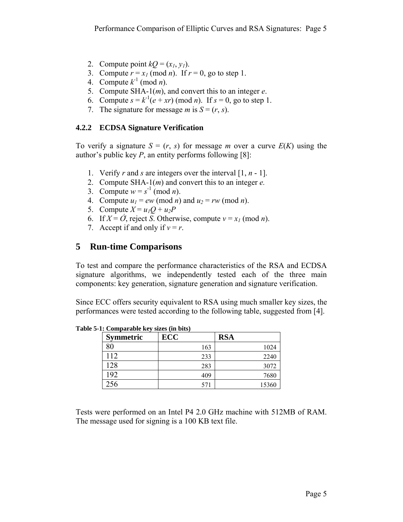- 2. Compute point  $kQ = (x_1, y_1)$ .
- 3. Compute  $r = x_1 \pmod{n}$ . If  $r = 0$ , go to step 1.
- 4. Compute  $k^{-1}$  (mod *n*).
- 5. Compute SHA-1(*m*), and convert this to an integer *e*.
- 6. Compute  $s = k^{-1}(e + xr) \pmod{n}$ . If  $s = 0$ , go to step 1.
- 7. The signature for message *m* is  $S = (r, s)$ .

### **4.2.2 ECDSA Signature Verification**

To verify a signature  $S = (r, s)$  for message *m* over a curve  $E(K)$  using the author's public key *P*, an entity performs following [8]:

- 1. Verify *r* and *s* are integers over the interval [1, *n* 1].
- 2. Compute SHA-1(*m*) and convert this to an integer *e.*
- 3. Compute  $w = s^{-1} \pmod{n}$ .
- 4. Compute  $u_1 = ew \pmod{n}$  and  $u_2 = rw \pmod{n}$ .
- 5. Compute  $X = u_1Q + u_2P$
- 6. If  $X = \hat{O}$ , reject *S*. Otherwise, compute  $v = x_1 \pmod{n}$ .
- 7. Accept if and only if  $v = r$ .

# **5 Run-time Comparisons**

To test and compare the performance characteristics of the RSA and ECDSA signature algorithms, we independently tested each of the three main components: key generation, signature generation and signature verification.

Since ECC offers security equivalent to RSA using much smaller key sizes, the performances were tested according to the following table, suggested from [4].

| <b>Symmetric</b> | <b>ECC</b> | <b>RSA</b> |
|------------------|------------|------------|
| 80               | 163        | 1024       |
| 112              | 233        | 2240       |
| 128              | 283        | 3072       |
| 192              | 409        | 7680       |
| 256              | 571        | 15360      |

**Table 5-1: Comparable key sizes (in bits)** 

Tests were performed on an Intel P4 2.0 GHz machine with 512MB of RAM. The message used for signing is a 100 KB text file.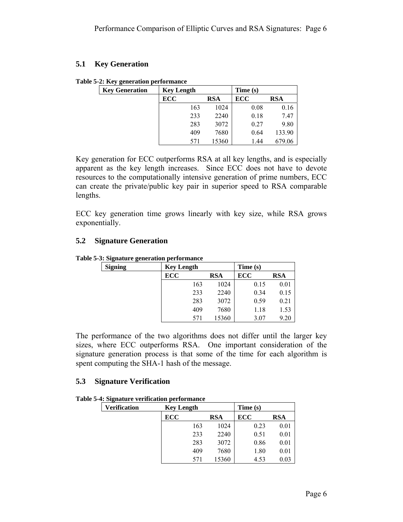#### **5.1 Key Generation**

|  | Table 5-2: Key generation performance |
|--|---------------------------------------|
|  |                                       |

| <b>Key Generation</b> | <b>Key Length</b> |            | Time (s) |        |
|-----------------------|-------------------|------------|----------|--------|
|                       | ECC               | <b>RSA</b> | ECC      | RSA    |
|                       | 163               | 1024       | 0.08     | 0.16   |
|                       | 233               | 2240       | 0.18     | 7.47   |
|                       | 283               | 3072       | 0.27     | 9.80   |
|                       | 409               | 7680       | 0.64     | 133.90 |
|                       | 571               | 15360      | 1.44     | 679.06 |

Key generation for ECC outperforms RSA at all key lengths, and is especially apparent as the key length increases. Since ECC does not have to devote resources to the computationally intensive generation of prime numbers, ECC can create the private/public key pair in superior speed to RSA comparable lengths.

ECC key generation time grows linearly with key size, while RSA grows exponentially.

### **5.2 Signature Generation**

| <b>Signing</b> | <b>Key Length</b> |            | Time(s) |            |
|----------------|-------------------|------------|---------|------------|
|                | ECC               | <b>RSA</b> | ECC     | <b>RSA</b> |
|                | 163               | 1024       | 0.15    | 0.01       |
|                | 233               | 2240       | 0.34    | 0.15       |
|                | 283               | 3072       | 0.59    | 0.21       |
|                | 409               | 7680       | 1.18    | 1.53       |
|                | 571               | 15360      | 3.07    | 9.20       |

The performance of the two algorithms does not differ until the larger key sizes, where ECC outperforms RSA. One important consideration of the signature generation process is that some of the time for each algorithm is spent computing the SHA-1 hash of the message.

#### **5.3 Signature Verification**

**Table 5-4: Signature verification performance** 

| <b>Verification</b> | <b>Key Length</b> |              | Time (s)   |            |
|---------------------|-------------------|--------------|------------|------------|
|                     | <b>ECC</b>        | <b>RSA</b>   | <b>ECC</b> | <b>RSA</b> |
|                     |                   | 163<br>1024  | 0.23       | 0.01       |
|                     |                   | 2240<br>233  | 0.51       | 0.01       |
|                     |                   | 3072<br>283  | 0.86       | 0.01       |
|                     |                   | 7680<br>409  | 1.80       | 0.01       |
|                     |                   | 15360<br>571 | 4.53       | 0.03       |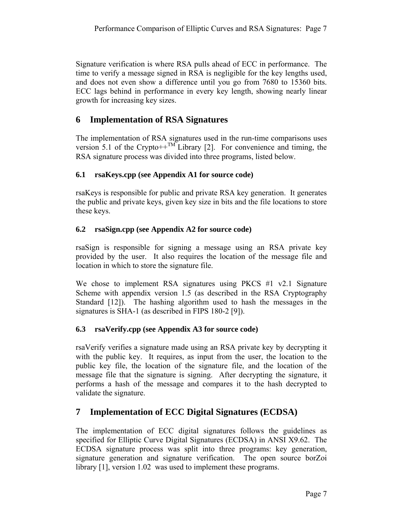Signature verification is where RSA pulls ahead of ECC in performance. The time to verify a message signed in RSA is negligible for the key lengths used, and does not even show a difference until you go from 7680 to 15360 bits. ECC lags behind in performance in every key length, showing nearly linear growth for increasing key sizes.

# **6 Implementation of RSA Signatures**

The implementation of RSA signatures used in the run-time comparisons uses version 5.1 of the Crypto++ $^{TM}$  Library [2]. For convenience and timing, the RSA signature process was divided into three programs, listed below.

## **6.1 rsaKeys.cpp (see Appendix A1 for source code)**

rsaKeys is responsible for public and private RSA key generation. It generates the public and private keys, given key size in bits and the file locations to store these keys.

## **6.2 rsaSign.cpp (see Appendix A2 for source code)**

rsaSign is responsible for signing a message using an RSA private key provided by the user. It also requires the location of the message file and location in which to store the signature file.

We chose to implement RSA signatures using PKCS #1 v2.1 Signature Scheme with appendix version 1.5 (as described in the RSA Cryptography Standard [12]). The hashing algorithm used to hash the messages in the signatures is SHA-1 (as described in FIPS 180-2 [9]).

## **6.3 rsaVerify.cpp (see Appendix A3 for source code)**

rsaVerify verifies a signature made using an RSA private key by decrypting it with the public key. It requires, as input from the user, the location to the public key file, the location of the signature file, and the location of the message file that the signature is signing. After decrypting the signature, it performs a hash of the message and compares it to the hash decrypted to validate the signature.

# **7 Implementation of ECC Digital Signatures (ECDSA)**

The implementation of ECC digital signatures follows the guidelines as specified for Elliptic Curve Digital Signatures (ECDSA) in ANSI X9.62. The ECDSA signature process was split into three programs: key generation, signature generation and signature verification. The open source borZoi library [1], version 1.02 was used to implement these programs.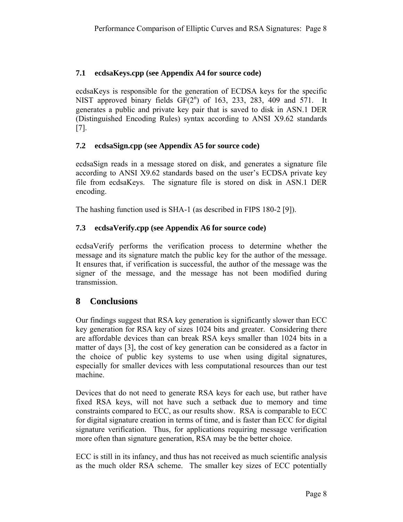### **7.1 ecdsaKeys.cpp (see Appendix A4 for source code)**

ecdsaKeys is responsible for the generation of ECDSA keys for the specific NIST approved binary fields  $GF(2^n)$  of 163, 233, 283, 409 and 571. It generates a public and private key pair that is saved to disk in ASN.1 DER (Distinguished Encoding Rules) syntax according to ANSI X9.62 standards [7].

### **7.2 ecdsaSign.cpp (see Appendix A5 for source code)**

ecdsaSign reads in a message stored on disk, and generates a signature file according to ANSI X9.62 standards based on the user's ECDSA private key file from ecdsaKeys. The signature file is stored on disk in ASN.1 DER encoding.

The hashing function used is SHA-1 (as described in FIPS 180-2 [9]).

### **7.3 ecdsaVerify.cpp (see Appendix A6 for source code)**

ecdsaVerify performs the verification process to determine whether the message and its signature match the public key for the author of the message. It ensures that, if verification is successful, the author of the message was the signer of the message, and the message has not been modified during transmission.

## **8 Conclusions**

Our findings suggest that RSA key generation is significantly slower than ECC key generation for RSA key of sizes 1024 bits and greater. Considering there are affordable devices than can break RSA keys smaller than 1024 bits in a matter of days [3], the cost of key generation can be considered as a factor in the choice of public key systems to use when using digital signatures, especially for smaller devices with less computational resources than our test machine.

Devices that do not need to generate RSA keys for each use, but rather have fixed RSA keys, will not have such a setback due to memory and time constraints compared to ECC, as our results show. RSA is comparable to ECC for digital signature creation in terms of time, and is faster than ECC for digital signature verification. Thus, for applications requiring message verification more often than signature generation, RSA may be the better choice.

ECC is still in its infancy, and thus has not received as much scientific analysis as the much older RSA scheme. The smaller key sizes of ECC potentially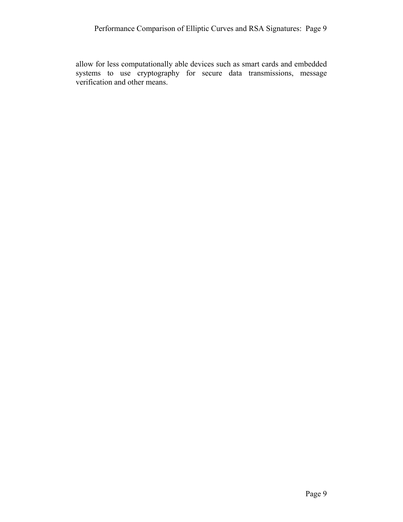allow for less computationally able devices such as smart cards and embedded systems to use cryptography for secure data transmissions, message verification and other means.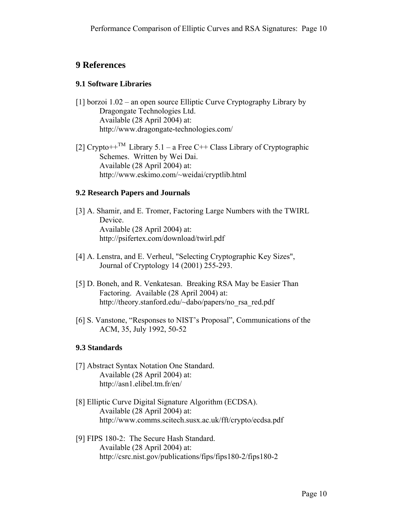# **9 References**

### **9.1 Software Libraries**

- [1] borzoi 1.02 an open source Elliptic Curve Cryptography Library by Dragongate Technologies Ltd. Available (28 April 2004) at: http://www.dragongate-technologies.com/
- [2] Crypto++<sup>TM</sup> Library 5.1 a Free C++ Class Library of Cryptographic Schemes. Written by Wei Dai. Available (28 April 2004) at: http://www.eskimo.com/~weidai/cryptlib.html

### **9.2 Research Papers and Journals**

- [3] A. Shamir, and E. Tromer, Factoring Large Numbers with the TWIRL Device. Available (28 April 2004) at: http://psifertex.com/download/twirl.pdf
- [4] A. Lenstra, and E. Verheul, "Selecting Cryptographic Key Sizes", Journal of Cryptology 14 (2001) 255-293.
- [5] D. Boneh, and R. Venkatesan. Breaking RSA May be Easier Than Factoring. Available (28 April 2004) at: http://theory.stanford.edu/~dabo/papers/no\_rsa\_red.pdf
- [6] S. Vanstone, "Responses to NIST's Proposal", Communications of the ACM, 35, July 1992, 50-52

### **9.3 Standards**

- [7] Abstract Syntax Notation One Standard. Available (28 April 2004) at: http://asn1.elibel.tm.fr/en/
- [8] Elliptic Curve Digital Signature Algorithm (ECDSA). Available (28 April 2004) at: http://www.comms.scitech.susx.ac.uk/fft/crypto/ecdsa.pdf
- [9] FIPS 180-2: The Secure Hash Standard. Available (28 April 2004) at: http://csrc.nist.gov/publications/fips/fips180-2/fips180-2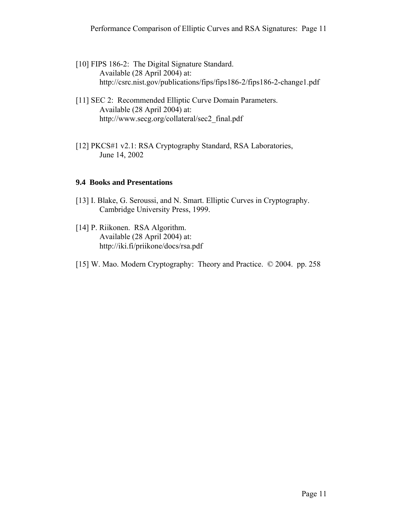- [10] FIPS 186-2: The Digital Signature Standard. Available (28 April 2004) at: http://csrc.nist.gov/publications/fips/fips186-2/fips186-2-change1.pdf
- [11] SEC 2: Recommended Elliptic Curve Domain Parameters. Available (28 April 2004) at: http://www.secg.org/collateral/sec2\_final.pdf
- [12] PKCS#1 v2.1: RSA Cryptography Standard, RSA Laboratories, June 14, 2002

### **9.4 Books and Presentations**

- [13] I. Blake, G. Seroussi, and N. Smart. Elliptic Curves in Cryptography. Cambridge University Press, 1999.
- [14] P. Riikonen. RSA Algorithm. Available (28 April 2004) at: http://iki.fi/priikone/docs/rsa.pdf
- [15] W. Mao. Modern Cryptography: Theory and Practice. © 2004. pp. 258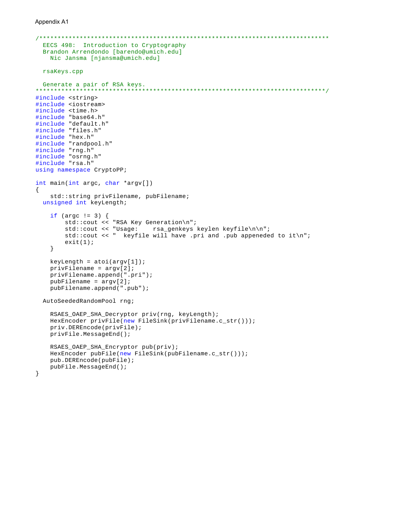```
EECS 498: Introduction to Cryptography
 Brandon Arrendondo [barendo@umich.edu]
  Nic Jansma [njansma@umich.edu]
 rsaKeys.cpp
 Generate a pair of RSA keys.
#include <string>
#include <iostream>
#include <time.h>
#include "base64.h"
#include "default.h"
#include "files.h"
#include "hex.h"
#include "randpool.h"
#include "rng.h"
#include "osrng.h"
#include "rsa.h"
using namespace CryptoPP;
int main(int argc, char *argv[])
ſ
   std::string privFilename, pubFilename;
 unsigned int keyLength;
   if (\text{area} != 3) {
       std:: cout << "RSA Key Generation\n";
       std::cout << "Usage: rsa_genkeys keylen keyfile\n\n";
       std::cout << " keyfile will have .pri and .pub appeneded to it\n";
       exit(1);\}keyLength = atoi(argv[1]);privFilename = argv[2];privFilename.append(".pri");
   publicname = argv[2];pubFilename.append(".pub");
 AutoSeededRandomPool rng;
   RSAES_OAEP_SHA_Decryptor priv(rng, keyLength);
   HexEncoder privFile(new FileSink(privFilename.c_str()));
   priv.DEREncode(privFile);
   privFile.MessageEnd();
   RSAES_OAEP_SHA_Encryptor pub(priv);
   HexEncoder pubFile(new FileSink(pubFilename.c_str()));
   pub.DEREncode(pubFile);
   pubFile.MessageEnd();
\}
```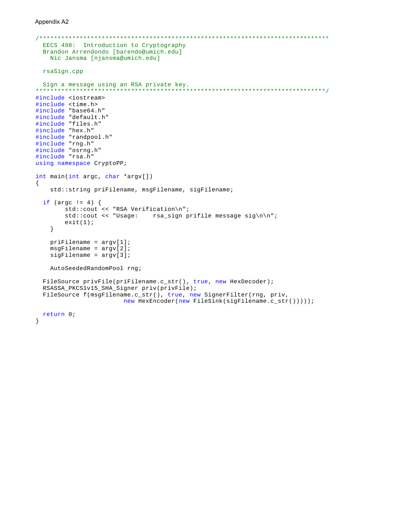```
EECS 498: Introduction to Cryptography
 Brandon Arrendondo [barendo@umich.edu]
   Nic Jansma [njansma@umich.edu]
 rsaSign.cpp
 Sign a message using an RSA private key.
                                       **************************
#include <iostream>
#include <time.h>
#include "base64.h"
#include "default.h"
#include "files.h"
#include "hex.h"
#include "randpool.h"
#include "rng.h"
#include "osrng.h"
#include "rsa.h"
using namespace CryptoPP;
int main(int argc, char *argv[])
\{std::string priFilename, msgFilename, sigFilename;
 if (\arg c := 4) {
       \texttt{std::count} \; \texttt{<<} \texttt{ "RSA Verification\texttt{''};}std::cout << "Usage: rsa_sign prifile message sig\n\n";
       exit(1);\}prifilename = argv[1];msgFilename = argv[2];sigFilename = argv[3];AutoSeededRandomPool rng;
 FileSource privFile(priFilename.c_str(), true, new HexDecoder);
 RSASSA_PKCS1v15_SHA_Signer priv(privFile);
 FileSource f(msgFilename.c_str(), true, new SignerFilter(rng, priv,
                      new HexEncoder(new FileSink(sigFilename.c_str()))));
 return 0;
\}
```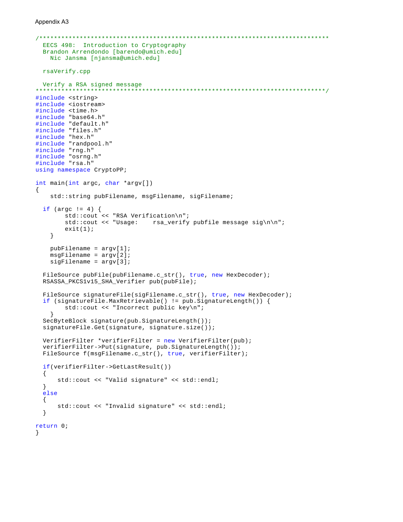```
EECS 498: Introduction to Cryptography
 Brandon Arrendondo [barendo@umich.edu]
  Nic Jansma [njansma@umich.edu]
 rsaVerify.cpp
 Verify a RSA signed message
#include <string>
#include <iostream>
#include <time.h>
#include "base64.h"
#include "default.h"
#include "files.h"
#include "hex.h"
#include "randpool.h"
#include "rng.h"
#include "osrng.h"
#include "rsa.h"
using namespace CryptoPP;
int main(int argc, char *argv[])
\{std::string pubFilename, msgFilename, sigFilename;
 if (argc != 4) {
       std:: cout << "RSA Verification\n";
       std::count \leq "Usage: rsa\_verify public message sign\n"exit(1);\left\{ \right.publicname = argv[1];msgFilename = argv[2];sigFilename = argv[3];FileSource pubFile(pubFilename.c_str(), true, new HexDecoder);
 RSASSA_PKCS1v15_SHA_Verifier pub(pubFile);
 FileSource signatureFile(sigFilename.c_str(), true, new HexDecoder);
 if (signatureFile.MaxRetrievable() != pub.SignatureLength()) {
       std::cout << "Incorrect public key\n";
   \}SecByteBlock signature(pub.SignatureLength());
 signatureFile.Get(signature, signature.size());
 VerifierFilter *verifierFilter = new VerifierFilter(pub);
 verifierFilter->Put(signature, pub.SignatureLength());
 FileSource f(msgFilename.c_str(), true, verifierFilter);
 if(verifierFilter->GetLastResult())
 \{std::cout << "Valid signature" << std::endl;
 \}else
 \{std::cout << "Invalid signature" << std::endl;
 \mathcal{E}return 0;
\big\}
```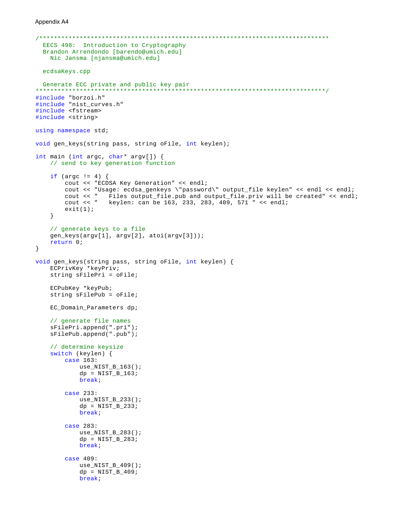```
EECS 498: Introduction to Cryptography
 Brandon Arrendondo [barendo@umich.edu]
   Nic Jansma [njansma@umich.edu]
 ecdsaKeys.cpp
 Generate ECC private and public key pair
                                   **************************************
#include "borzoi.h"
#include "nist_curves.h"
#include <fstream>
#include <string>
using namespace std;
void gen_keys(string pass, string oFile, int keylen);
int main (int argc, char* argv[]) {
   // send to key generation function
   if (\arg c := 4) {
       cout << "ECDSA Key Generation" << endl;
       cout << "Usage: ecdsa genkeys \"password\" output file keylen" << endl << endl;
       cout << " Files output_file.pub and output_file.priv will be created" << endl;
       cout << " keylen: can be 163, 233, 283, 409, 571 " << endl;
       exit(1);\mathcal{E}// generate keys to a file
   gen_keys(argv[1], argv[2], atoi(argv[3]));
   return 0;
\mathcal{E}void gen_keys(string pass, string oFile, int keylen) {
   ECPrivKey *keyPriv;
   string sFilePri = oFile;
   ECPubKey *keyPub;
   string sFilePub = oFile;
   EC_Domain_Parameters dp;
   // generate file names
   sFilePri.append(".pri");
   sFilePub.append(".pub");
   // determine keysize
   switch (keylen) {
       case 163:use_NIST_B_163()dp = NIST_B_163;break;
       case 233:use_NIST_B_233()dp = NIST_B_233;break;
       case 283:
          use_NIST_B_283()dp = NIST_B_283;break;
       case 409:
          use_NIST_B_409()dp = NIST_B_409;
          break;
```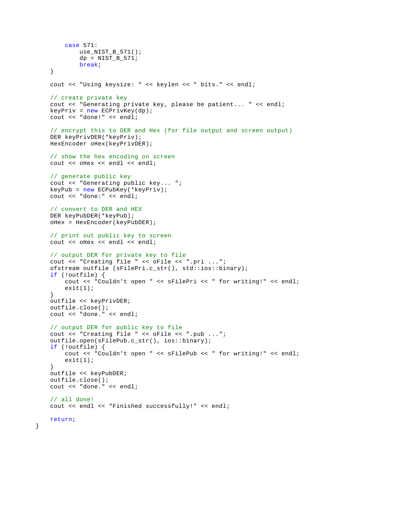```
 case 571:
        use_NIST_B_571();
        dp = NIST_B_571; break;
 }
 cout << "Using keysize: " << keylen << " bits." << endl;
// create private key
 cout << "Generating private key, please be patient... " << endl;
keyPriv = new ECPrivKey(dp);
 cout << "done!" << endl;
// encrypt this to DER and Hex (for file output and screen output)
 DER keyPrivDER(*keyPriv);
 HexEncoder oHex(keyPrivDER);
// show the hex encoding on screen
cout << oHex << endl << endl;
// generate public key
 cout << "Generating public key... ";
 keyPub = new ECPubKey(*keyPriv);
 cout << "done:" << endl;
// convert to DER and HEX
 DER keyPubDER(*keyPub);
 oHex = HexEncoder(keyPubDER);
// print out public key to screen
 cout << oHex << endl << endl;
// output DER for private key to file
 cout << "Creating file " << oFile << ".pri ...";
 ofstream outfile (sFilePri.c_str(), std::ios::binary);
if (!outfile) {
     cout << "Couldn't open " << sFilePri << " for writing!" << endl;
    exit(1); }
 outfile << keyPrivDER;
 outfile.close();
 cout << "done." << endl;
// output DER for public key to file
 cout << "Creating file " << oFile << ".pub ...";
 outfile.open(sFilePub.c_str(), ios::binary);
if (!outfile) {
     cout << "Couldn't open " << sFilePub << " for writing!" << endl;
    exit(1); }
 outfile << keyPubDER;
 outfile.close();
 cout << "done." << endl;
// all done!
 cout << endl << "Finished successfully!" << endl;
return;
```
}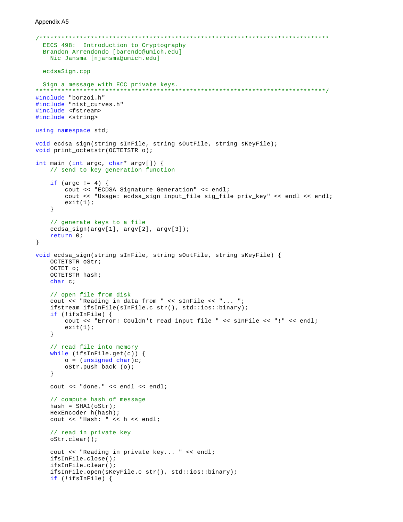```
EECS 498: Introduction to Cryptography
 Brandon Arrendondo [barendo@umich.edu]
   Nic Jansma [njansma@umich.edu]
 ecdsaSign.cpp
 Sign a message with ECC private keys.
                                   **************************************
#include "borzoi.h"
#include "nist_curves.h"
#include <fstream>
#include <string>
using namespace std;
void ecdsa_sign(string sInFile, string sOutFile, string sKeyFile);
void print_octetstr(OCTETSTR o);
int main (int argc, char* argv[]) {
   // send to key generation function
   if (\arg c := 4) {
       cout << "ECDSA Signature Generation" << endl;
       cout << "Usage: ecdsa_sign input_file sig_file priv_key" << endl << endl;
       exit(1);\}// generate keys to a file
   ecdsa_sign(argv[1], argv[2], argv[3]);
   return 0;\}void ecdsa_sign(string sInFile, string sOutFile, string sKeyFile) {
   OCTETSTR oStr;
   OCTET o;
   OCTETSTR hash;
   char c;
   // open file from disk
   cout << "Reading in data from " << sInFile << "... ";
   ifstream ifsInFile(sInFile.c_str(), std::ios::binary);
   if (!ifsInFile) {
       cout << "Error! Couldn't read input file " << sInFile << "!" << endl;
       exit(1);\}// read file into memory
   while (ifsInFile.get(c)) {
       o = (unsigned char)coStr.push_back (o);
   \}cout << "done." << endl << endl;
   // compute hash of message
   hash = SHA(oStr);HexEncoder h(hash);
   cout << "Hash: " << h << endl;
   // read in private key
   oStr.clear();
   cout << "Reading in private key... " << endl;
   ifsInFile.close();
   ifsInFile.clear();
   ifsInFile.open(sKeyFile.c_str(), std::ios::binary);
   if (!ifsInFile) {
```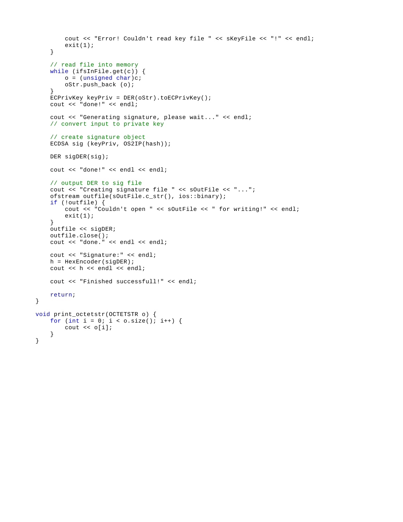```
 cout << "Error! Couldn't read key file " << sKeyFile << "!" << endl;
        exit(1); }
    // read file into memory
    while (ifsInFile.get(c)) {
       o = (unsigned char)c;
        oStr.push_back (o);
     }
     ECPrivKey keyPriv = DER(oStr).toECPrivKey();
     cout << "done!" << endl;
     cout << "Generating signature, please wait..." << endl;
    // convert input to private key
    // create signature object
     ECDSA sig (keyPriv, OS2IP(hash));
     DER sigDER(sig);
    cout << "done!" << endl << endl;
   // output DER to sig file
    cout << "Creating signature file " << sOutFile << "...";
     ofstream outfile(sOutFile.c_str(), ios::binary);
    if (!outfile) {
        cout << "Couldn't open " << sOutFile << " for writing!" << endl;
        exit(1); }
     outfile << sigDER;
     outfile.close();
     cout << "done." << endl << endl;
    cout << "Signature:" << endl;
    h = HexEncoder(sigDER);
   cout << h << endl << endl;
    cout << "Finished successfull!" << endl;
   return;
void print_octetstr(OCTETSTR o) {
   for (int i = 0; i < o.size(); i++) {
        cout << o[i];
     }
```
}

}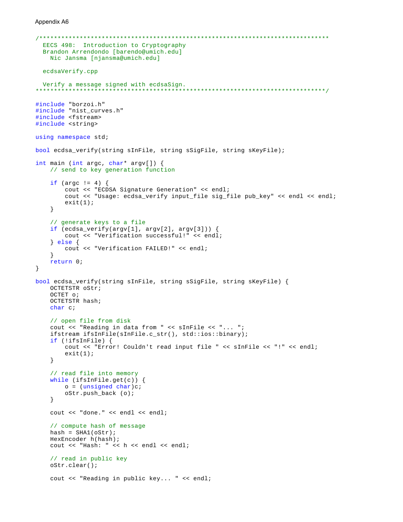```
EECS 498: Introduction to Cryptography
 Brandon Arrendondo [barendo@umich.edu]
  Nic Jansma [njansma@umich.edu]
 ecdsaVerify.cpp
 Verify a message signed with ecdsaSign.
#include "borzoi.h"
#include "nist_curves.h"
#include <fstream>
#include <string>
using namespace std;
bool ecdsa_verify(string sInFile, string sSigFile, string sKeyFile);
int main (int argc, char* argv[]) {
   // send to key generation function
   if (\text{argc} := 4) {
       cout << "ECDSA Signature Generation" << endl;
       cout << "Usage: ecdsa_verify input_file sig_file pub_key" << endl << endl;
       exit(1);\}// generate keys to a file
   if (ecdsa\_verify(argv[1], argv[2], argv[3])) {
       cout << "Verification successful!" << endl;
   \} else {
       cout << "Verification FAILED!" << endl;
   \mathcal{E}return 0;
\}bool ecdsa_verify(string sInFile, string sSigFile, string sKeyFile) {
   OCTETSTR oStr;
   OCTET OOCTETSTR hash;
   char c;
   // open file from disk
   cout << "Reading in data from " << sInFile << "... ";
   ifstream ifsInFile(sInFile.c_str(), std::ios::binary);
   if (!ifsInFile) {
       cout << "Error! Couldn't read input file " << sInFile << "!" << endl;
       exit(1);\}// read file into memory
   while (ifsInFile.get(c)) {
       o = (unsigned char)coStr.push_back(o);\left\{ \right.cout << "done." << endl << endl;
   // compute hash of message
   hash = SHA(oStr);HexEncoder h(hash);
   cout << "Hash: " << h << endl << endl;
   // read in public key
   oStr.clear();
   cout << "Reading in public key... " << endl;
```